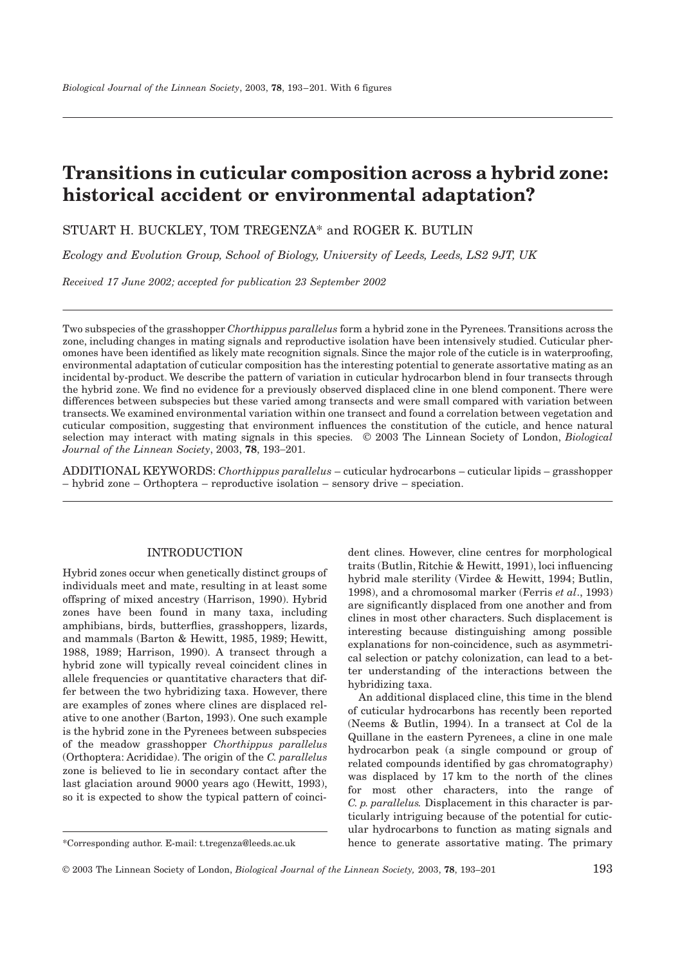# **Transitions in cuticular composition across a hybrid zone: historical accident or environmental adaptation?**

STUART H. BUCKLEY, TOM TREGENZA\* and ROGER K. BUTLIN

*Ecology and Evolution Group, School of Biology, University of Leeds, Leeds, LS2 9JT, UK*

*Received 17 June 2002; accepted for publication 23 September 2002*

Two subspecies of the grasshopper *Chorthippus parallelus* form a hybrid zone in the Pyrenees. Transitions across the zone, including changes in mating signals and reproductive isolation have been intensively studied. Cuticular pheromones have been identified as likely mate recognition signals. Since the major role of the cuticle is in waterproofing, environmental adaptation of cuticular composition has the interesting potential to generate assortative mating as an incidental by-product. We describe the pattern of variation in cuticular hydrocarbon blend in four transects through the hybrid zone. We find no evidence for a previously observed displaced cline in one blend component. There were differences between subspecies but these varied among transects and were small compared with variation between transects. We examined environmental variation within one transect and found a correlation between vegetation and cuticular composition, suggesting that environment influences the constitution of the cuticle, and hence natural selection may interact with mating signals in this species. © 2003 The Linnean Society of London, *Biological Journal of the Linnean Society*, 2003, **78**, 193-201.

ADDITIONAL KEYWORDS: *Chorthippus parallelus* – cuticular hydrocarbons – cuticular lipids – grasshopper – hybrid zone – Orthoptera – reproductive isolation – sensory drive – speciation.

# INTRODUCTION

Hybrid zones occur when genetically distinct groups of individuals meet and mate, resulting in at least some offspring of mixed ancestry (Harrison, 1990). Hybrid zones have been found in many taxa, including amphibians, birds, butterflies, grasshoppers, lizards, and mammals (Barton & Hewitt, 1985, 1989; Hewitt, 1988, 1989; Harrison, 1990). A transect through a hybrid zone will typically reveal coincident clines in allele frequencies or quantitative characters that differ between the two hybridizing taxa. However, there are examples of zones where clines are displaced relative to one another (Barton, 1993). One such example is the hybrid zone in the Pyrenees between subspecies of the meadow grasshopper *Chorthippus parallelus* (Orthoptera: Acrididae). The origin of the *C. parallelus* zone is believed to lie in secondary contact after the last glaciation around 9000 years ago (Hewitt, 1993), so it is expected to show the typical pattern of coincident clines. However, cline centres for morphological traits (Butlin, Ritchie & Hewitt, 1991), loci influencing hybrid male sterility (Virdee & Hewitt, 1994; Butlin, 1998), and a chromosomal marker (Ferris *et al*., 1993) are significantly displaced from one another and from clines in most other characters. Such displacement is interesting because distinguishing among possible explanations for non-coincidence, such as asymmetrical selection or patchy colonization, can lead to a better understanding of the interactions between the hybridizing taxa.

An additional displaced cline, this time in the blend of cuticular hydrocarbons has recently been reported (Neems & Butlin, 1994). In a transect at Col de la Quillane in the eastern Pyrenees, a cline in one male hydrocarbon peak (a single compound or group of related compounds identified by gas chromatography) was displaced by 17 km to the north of the clines for most other characters, into the range of *C. p. parallelus.* Displacement in this character is particularly intriguing because of the potential for cuticular hydrocarbons to function as mating signals and hence to generate assortative mating. The primary

<sup>\*</sup>Corresponding author. E-mail: t.tregenza@leeds.ac.uk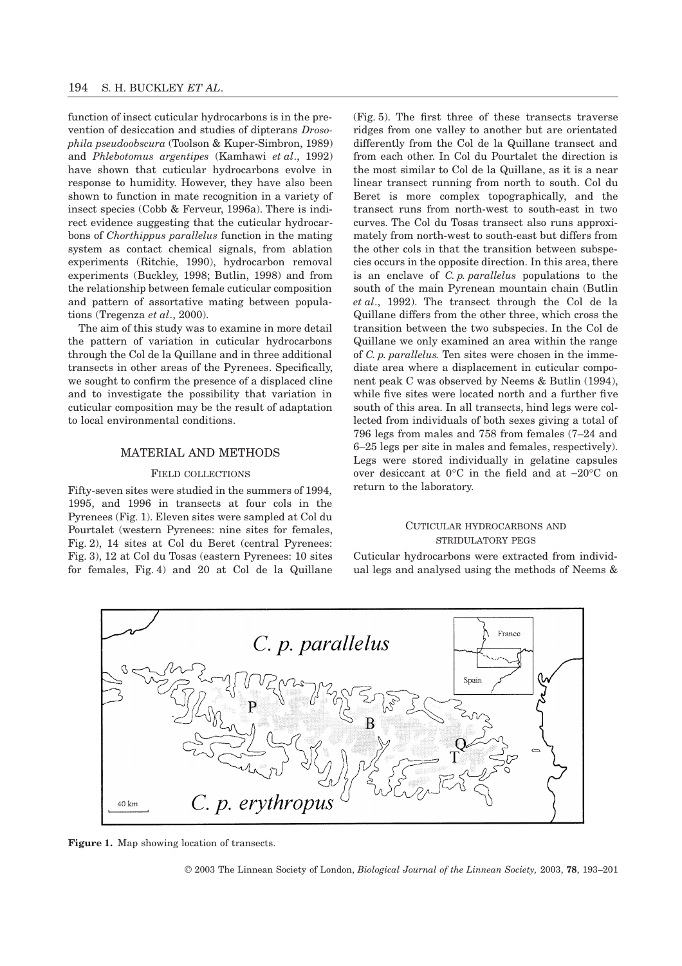function of insect cuticular hydrocarbons is in the prevention of desiccation and studies of dipterans *Drosophila pseudoobscura* (Toolson & Kuper-Simbron, 1989) and *Phlebotomus argentipes* (Kamhawi *et al*., 1992) have shown that cuticular hydrocarbons evolve in response to humidity. However, they have also been shown to function in mate recognition in a variety of insect species (Cobb & Ferveur, 1996a). There is indirect evidence suggesting that the cuticular hydrocarbons of *Chorthippus parallelus* function in the mating system as contact chemical signals, from ablation experiments (Ritchie, 1990), hydrocarbon removal experiments (Buckley, 1998; Butlin, 1998) and from the relationship between female cuticular composition and pattern of assortative mating between populations (Tregenza *et al*., 2000).

The aim of this study was to examine in more detail the pattern of variation in cuticular hydrocarbons through the Col de la Quillane and in three additional transects in other areas of the Pyrenees. Specifically, we sought to confirm the presence of a displaced cline and to investigate the possibility that variation in cuticular composition may be the result of adaptation to local environmental conditions.

## MATERIAL AND METHODS

#### FIELD COLLECTIONS

Fifty-seven sites were studied in the summers of 1994, 1995, and 1996 in transects at four cols in the Pyrenees (Fig. 1). Eleven sites were sampled at Col du Pourtalet (western Pyrenees: nine sites for females, Fig. 2), 14 sites at Col du Beret (central Pyrenees: Fig. 3), 12 at Col du Tosas (eastern Pyrenees: 10 sites for females, Fig. 4) and 20 at Col de la Quillane

(Fig. 5). The first three of these transects traverse ridges from one valley to another but are orientated differently from the Col de la Quillane transect and from each other. In Col du Pourtalet the direction is the most similar to Col de la Quillane, as it is a near linear transect running from north to south. Col du Beret is more complex topographically, and the transect runs from north-west to south-east in two curves. The Col du Tosas transect also runs approximately from north-west to south-east but differs from the other cols in that the transition between subspecies occurs in the opposite direction. In this area, there is an enclave of *C. p. parallelus* populations to the south of the main Pyrenean mountain chain (Butlin *et al*., 1992). The transect through the Col de la Quillane differs from the other three, which cross the transition between the two subspecies. In the Col de Quillane we only examined an area within the range of *C. p. parallelus.* Ten sites were chosen in the immediate area where a displacement in cuticular component peak C was observed by Neems & Butlin (1994), while five sites were located north and a further five south of this area. In all transects, hind legs were collected from individuals of both sexes giving a total of 796 legs from males and 758 from females (7–24 and 6–25 legs per site in males and females, respectively). Legs were stored individually in gelatine capsules over desiccant at 0∞C in the field and at -20∞C on return to the laboratory.

## CUTICULAR HYDROCARBONS AND STRIDULATORY PEGS

Cuticular hydrocarbons were extracted from individual legs and analysed using the methods of Neems &



**Figure 1.** Map showing location of transects.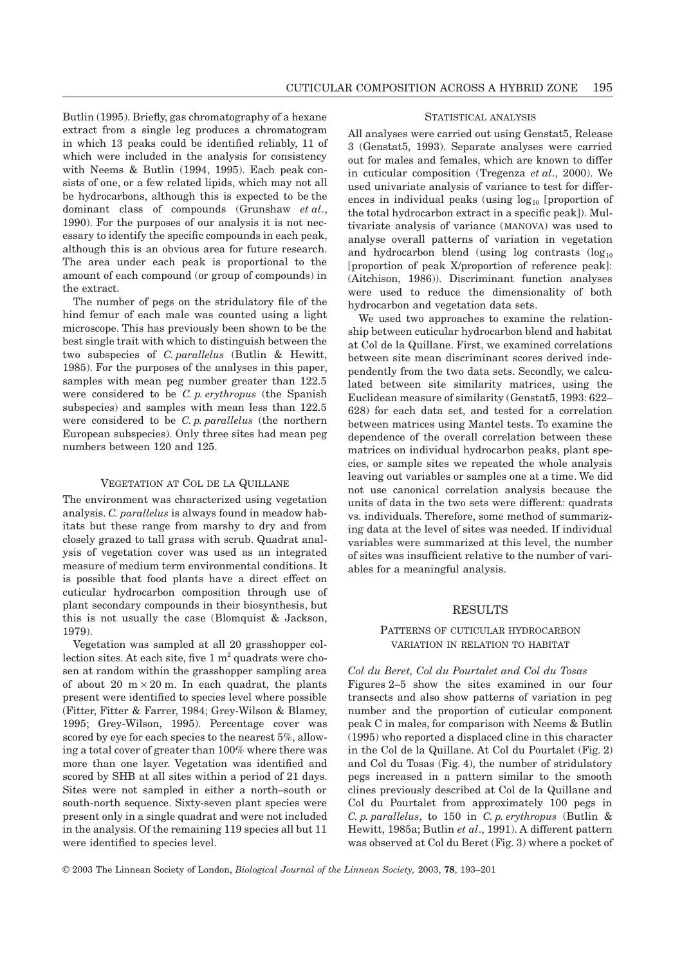Butlin (1995). Briefly, gas chromatography of a hexane extract from a single leg produces a chromatogram in which 13 peaks could be identified reliably, 11 of which were included in the analysis for consistency with Neems & Butlin (1994, 1995). Each peak consists of one, or a few related lipids, which may not all be hydrocarbons, although this is expected to be the dominant class of compounds (Grunshaw *et al*., 1990). For the purposes of our analysis it is not necessary to identify the specific compounds in each peak, although this is an obvious area for future research. The area under each peak is proportional to the amount of each compound (or group of compounds) in the extract.

The number of pegs on the stridulatory file of the hind femur of each male was counted using a light microscope. This has previously been shown to be the best single trait with which to distinguish between the two subspecies of *C. parallelus* (Butlin & Hewitt, 1985). For the purposes of the analyses in this paper, samples with mean peg number greater than 122.5 were considered to be *C. p. erythropus* (the Spanish subspecies) and samples with mean less than 122.5 were considered to be *C. p. parallelus* (the northern European subspecies). Only three sites had mean peg numbers between 120 and 125.

### VEGETATION AT COL DE LA QUILLANE

The environment was characterized using vegetation analysis. *C. parallelus* is always found in meadow habitats but these range from marshy to dry and from closely grazed to tall grass with scrub. Quadrat analysis of vegetation cover was used as an integrated measure of medium term environmental conditions. It is possible that food plants have a direct effect on cuticular hydrocarbon composition through use of plant secondary compounds in their biosynthesis, but this is not usually the case (Blomquist & Jackson, 1979).

Vegetation was sampled at all 20 grasshopper collection sites. At each site, five  $1 \text{ m}^2$  quadrats were chosen at random within the grasshopper sampling area of about 20  $m \times 20$  m. In each quadrat, the plants present were identified to species level where possible (Fitter, Fitter & Farrer, 1984; Grey-Wilson & Blamey, 1995; Grey-Wilson, 1995). Percentage cover was scored by eye for each species to the nearest 5%, allowing a total cover of greater than 100% where there was more than one layer. Vegetation was identified and scored by SHB at all sites within a period of 21 days. Sites were not sampled in either a north–south or south-north sequence. Sixty-seven plant species were present only in a single quadrat and were not included in the analysis. Of the remaining 119 species all but 11 were identified to species level.

#### STATISTICAL ANALYSIS

All analyses were carried out using Genstat5, Release 3 (Genstat5, 1993). Separate analyses were carried out for males and females, which are known to differ in cuticular composition (Tregenza *et al*., 2000). We used univariate analysis of variance to test for differences in individual peaks (using  $log_{10}$  [proportion of the total hydrocarbon extract in a specific peak]). Multivariate analysis of variance (MANOVA) was used to analyse overall patterns of variation in vegetation and hydrocarbon blend (using  $log$  contrasts  $(log_{10}$ ) [proportion of peak X/proportion of reference peak]: (Aitchison, 1986)). Discriminant function analyses were used to reduce the dimensionality of both hydrocarbon and vegetation data sets.

We used two approaches to examine the relationship between cuticular hydrocarbon blend and habitat at Col de la Quillane. First, we examined correlations between site mean discriminant scores derived independently from the two data sets. Secondly, we calculated between site similarity matrices, using the Euclidean measure of similarity (Genstat5, 1993: 622– 628) for each data set, and tested for a correlation between matrices using Mantel tests. To examine the dependence of the overall correlation between these matrices on individual hydrocarbon peaks, plant species, or sample sites we repeated the whole analysis leaving out variables or samples one at a time. We did not use canonical correlation analysis because the units of data in the two sets were different: quadrats vs. individuals. Therefore, some method of summarizing data at the level of sites was needed. If individual variables were summarized at this level, the number of sites was insufficient relative to the number of variables for a meaningful analysis.

## RESULTS

## PATTERNS OF CUTICULAR HYDROCARBON VARIATION IN RELATION TO HABITAT

*Col du Beret, Col du Pourtalet and Col du Tosas* Figures 2–5 show the sites examined in our four transects and also show patterns of variation in peg number and the proportion of cuticular component peak C in males, for comparison with Neems & Butlin (1995) who reported a displaced cline in this character in the Col de la Quillane. At Col du Pourtalet (Fig. 2) and Col du Tosas (Fig. 4), the number of stridulatory pegs increased in a pattern similar to the smooth clines previously described at Col de la Quillane and Col du Pourtalet from approximately 100 pegs in *C. p. parallelus*, to 150 in *C. p. erythropus* (Butlin & Hewitt, 1985a; Butlin *et al*., 1991). A different pattern was observed at Col du Beret (Fig. 3) where a pocket of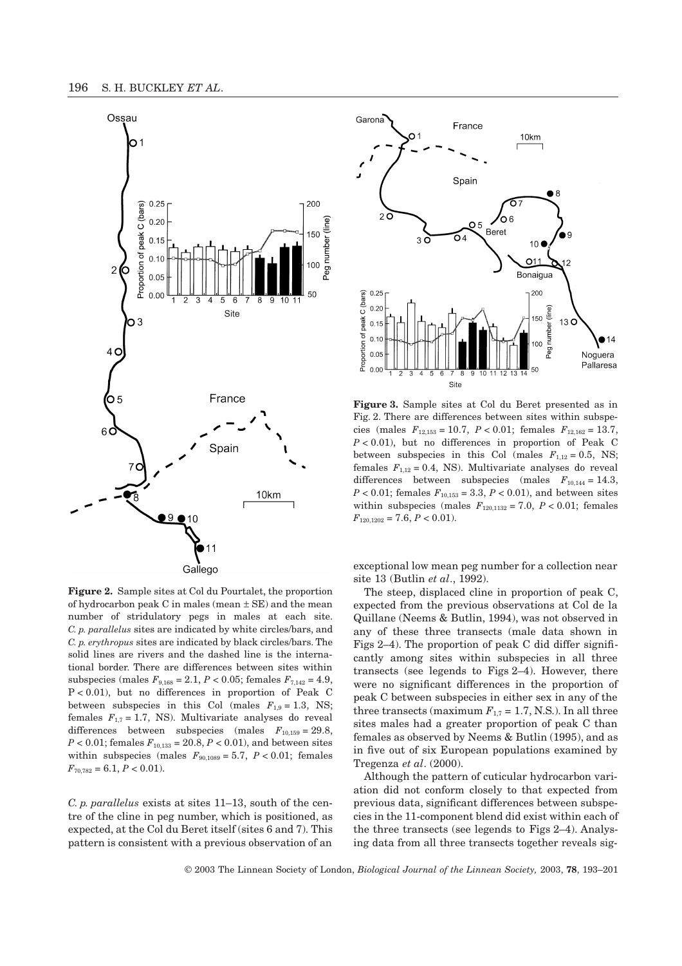

**Figure 2.** Sample sites at Col du Pourtalet, the proportion of hydrocarbon peak C in males (mean ± SE) and the mean number of stridulatory pegs in males at each site. *C. p. parallelus* sites are indicated by white circles/bars, and *C. p. erythropus* sites are indicated by black circles/bars. The solid lines are rivers and the dashed line is the international border. There are differences between sites within subspecies (males  $F_{9,168} = 2.1$ ,  $P < 0.05$ ; females  $F_{7,142} = 4.9$ , P < 0.01), but no differences in proportion of Peak C between subspecies in this Col (males  $F_{1,9} = 1.3$ , NS; females  $F_{1,7} = 1.7$ , NS). Multivariate analyses do reveal differences between subspecies (males  $F_{10,159} = 29.8$ ,  $P < 0.01$ ; females  $F_{10,133} = 20.8$ ,  $P < 0.01$ ), and between sites within subspecies (males  $F_{90,1089} = 5.7$ ,  $P < 0.01$ ; females  $F_{70,782} = 6.1, P < 0.01$ .

*C. p. parallelus* exists at sites 11–13, south of the centre of the cline in peg number, which is positioned, as expected, at the Col du Beret itself (sites 6 and 7). This pattern is consistent with a previous observation of an



**Figure 3.** Sample sites at Col du Beret presented as in Fig. 2. There are differences between sites within subspecies (males  $F_{12,153} = 10.7$ ,  $P < 0.01$ ; females  $F_{12,162} = 13.7$ , *P* < 0.01), but no differences in proportion of Peak C between subspecies in this Col (males  $F_{1,12} = 0.5$ , NS; females  $F_{1,12} = 0.4$ , NS). Multivariate analyses do reveal differences between subspecies (males  $F_{10,144} = 14.3$ ,  $P < 0.01$ ; females  $F_{10,153} = 3.3$ ,  $P < 0.01$ ), and between sites within subspecies (males  $F_{120,1132} = 7.0$ ,  $P < 0.01$ ; females  $F_{120.1202} = 7.6, P < 0.01$ .

exceptional low mean peg number for a collection near site 13 (Butlin *et al*., 1992).

The steep, displaced cline in proportion of peak C, expected from the previous observations at Col de la Quillane (Neems & Butlin, 1994), was not observed in any of these three transects (male data shown in Figs 2–4). The proportion of peak C did differ significantly among sites within subspecies in all three transects (see legends to Figs 2–4). However, there were no significant differences in the proportion of peak C between subspecies in either sex in any of the three transects (maximum  $F_{1,7} = 1.7$ , N.S.). In all three sites males had a greater proportion of peak C than females as observed by Neems & Butlin (1995), and as in five out of six European populations examined by Tregenza *et al*. (2000).

Although the pattern of cuticular hydrocarbon variation did not conform closely to that expected from previous data, significant differences between subspecies in the 11-component blend did exist within each of the three transects (see legends to Figs 2–4). Analysing data from all three transects together reveals sig-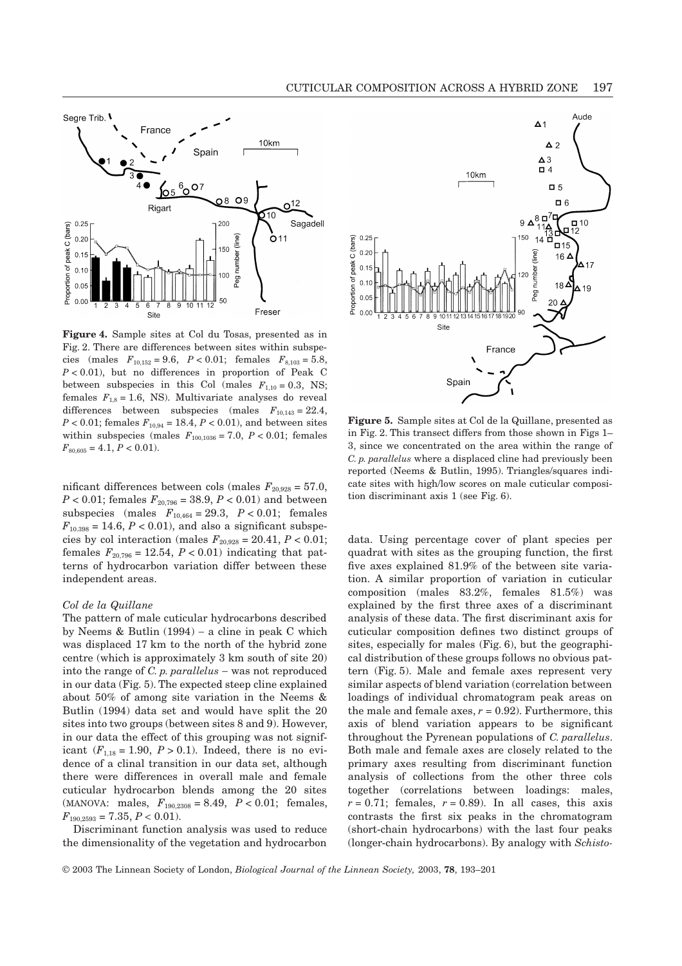

**Figure 4.** Sample sites at Col du Tosas, presented as in Fig. 2. There are differences between sites within subspecies (males  $F_{10,152} = 9.6$ ,  $P < 0.01$ ; females  $F_{8,103} = 5.8$ , *P* < 0.01), but no differences in proportion of Peak C between subspecies in this Col (males  $F_{1,10} = 0.3$ , NS; females  $F_{1,8} = 1.6$ , NS). Multivariate analyses do reveal differences between subspecies (males  $F_{10,143} = 22.4$ ,  $P < 0.01$ ; females  $F_{10,94} = 18.4, P < 0.01$ ), and between sites within subspecies (males  $F_{100,1036} = 7.0$ ,  $P < 0.01$ ; females  $F_{80,605} = 4.1, P < 0.01$ .

nificant differences between cols (males  $F_{20,928} = 57.0$ ,  $P < 0.01$ ; females  $F_{20,796} = 38.9$ ,  $P < 0.01$ ) and between subspecies (males  $F_{10,464} = 29.3$ ,  $P < 0.01$ ; females  $F_{10.398} = 14.6, P < 0.01$ , and also a significant subspecies by col interaction (males  $F_{20,928} = 20.41, P < 0.01;$ females  $F_{20,796} = 12.54, P < 0.01$  indicating that patterns of hydrocarbon variation differ between these independent areas.

#### *Col de la Quillane*

The pattern of male cuticular hydrocarbons described by Neems & Butlin  $(1994)$  – a cline in peak C which was displaced 17 km to the north of the hybrid zone centre (which is approximately 3 km south of site 20) into the range of *C. p. parallelus* - was not reproduced in our data (Fig. 5). The expected steep cline explained about 50% of among site variation in the Neems & Butlin (1994) data set and would have split the 20 sites into two groups (between sites 8 and 9). However, in our data the effect of this grouping was not significant  $(F_{1,18} = 1.90, P > 0.1)$ . Indeed, there is no evidence of a clinal transition in our data set, although there were differences in overall male and female cuticular hydrocarbon blends among the 20 sites (MANOVA: males, *F*190,2308 = 8.49, *P* < 0.01; females,  $F_{190,2593} = 7.35, P < 0.01$ .

Discriminant function analysis was used to reduce the dimensionality of the vegetation and hydrocarbon



**Figure 5.** Sample sites at Col de la Quillane, presented as in Fig. 2. This transect differs from those shown in Figs 1– 3, since we concentrated on the area within the range of *C. p. parallelus* where a displaced cline had previously been reported (Neems & Butlin, 1995). Triangles/squares indicate sites with high/low scores on male cuticular composition discriminant axis 1 (see Fig. 6).

data. Using percentage cover of plant species per quadrat with sites as the grouping function, the first five axes explained 81.9% of the between site variation. A similar proportion of variation in cuticular composition (males 83.2%, females 81.5%) was explained by the first three axes of a discriminant analysis of these data. The first discriminant axis for cuticular composition defines two distinct groups of sites, especially for males (Fig. 6), but the geographical distribution of these groups follows no obvious pattern (Fig. 5). Male and female axes represent very similar aspects of blend variation (correlation between loadings of individual chromatogram peak areas on the male and female axes,  $r = 0.92$ ). Furthermore, this axis of blend variation appears to be significant throughout the Pyrenean populations of *C. parallelus*. Both male and female axes are closely related to the primary axes resulting from discriminant function analysis of collections from the other three cols together (correlations between loadings: males,  $r = 0.71$ ; females,  $r = 0.89$ ). In all cases, this axis contrasts the first six peaks in the chromatogram (short-chain hydrocarbons) with the last four peaks (longer-chain hydrocarbons). By analogy with *Schisto-*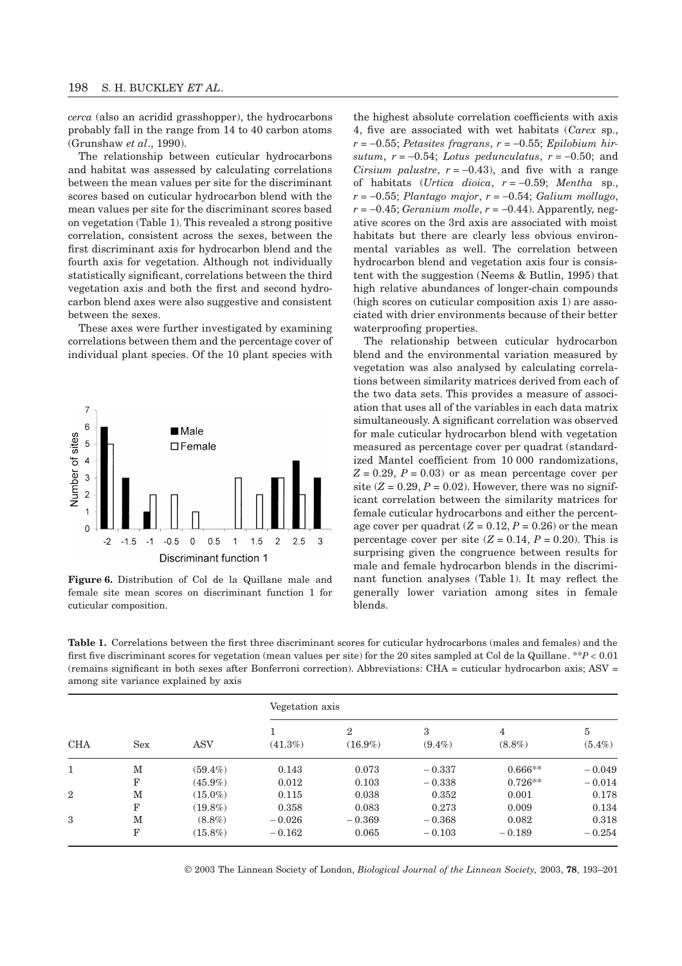*cerca* (also an acridid grasshopper), the hydrocarbons probably fall in the range from 14 to 40 carbon atoms (Grunshaw *et al*., 1990).

The relationship between cuticular hydrocarbons and habitat was assessed by calculating correlations between the mean values per site for the discriminant scores based on cuticular hydrocarbon blend with the mean values per site for the discriminant scores based on vegetation (Table 1). This revealed a strong positive correlation, consistent across the sexes, between the first discriminant axis for hydrocarbon blend and the fourth axis for vegetation. Although not individually statistically significant, correlations between the third vegetation axis and both the first and second hydrocarbon blend axes were also suggestive and consistent between the sexes.

These axes were further investigated by examining correlations between them and the percentage cover of individual plant species. Of the 10 plant species with



**Figure 6.** Distribution of Col de la Quillane male and female site mean scores on discriminant function 1 for cuticular composition.

the highest absolute correlation coefficients with axis 4, five are associated with wet habitats (*Carex* sp.,  $r = -0.55$ ; *Petasites fragrans*,  $r = -0.55$ ; *Epilobium hirsutum,*  $r = -0.54$ *; Lotus pedunculatus,*  $r = -0.50$ *; and Cirsium palustre*,  $r = -0.43$ , and five with a range of habitats (*Urtica dioica*, *r =* -0.59; *Mentha* sp., *r =* -0.55; *Plantago major*, *r =* -0.54; *Galium mollugo*,  $r = -0.45$ ; *Geranium molle*,  $r = -0.44$ ). Apparently, negative scores on the 3rd axis are associated with moist habitats but there are clearly less obvious environmental variables as well. The correlation between hydrocarbon blend and vegetation axis four is consistent with the suggestion (Neems & Butlin, 1995) that high relative abundances of longer-chain compounds (high scores on cuticular composition axis 1) are associated with drier environments because of their better waterproofing properties.

The relationship between cuticular hydrocarbon blend and the environmental variation measured by vegetation was also analysed by calculating correlations between similarity matrices derived from each of the two data sets. This provides a measure of association that uses all of the variables in each data matrix simultaneously. A significant correlation was observed for male cuticular hydrocarbon blend with vegetation measured as percentage cover per quadrat (standardized Mantel coefficient from 10 000 randomizations,  $Z = 0.29$ ,  $P = 0.03$  or as mean percentage cover per site  $(Z = 0.29, P = 0.02)$ . However, there was no significant correlation between the similarity matrices for female cuticular hydrocarbons and either the percentage cover per quadrat  $(Z = 0.12, P = 0.26)$  or the mean percentage cover per site  $(Z = 0.14, P = 0.20)$ . This is surprising given the congruence between results for male and female hydrocarbon blends in the discriminant function analyses (Table 1). It may reflect the generally lower variation among sites in female blends.

**Table 1.** Correlations between the first three discriminant scores for cuticular hydrocarbons (males and females) and the first five discriminant scores for vegetation (mean values per site) for the 20 sites sampled at Col de la Quillane. \*\**P <* 0.01 (remains significant in both sexes after Bonferroni correction). Abbreviations: CHA = cuticular hydrocarbon axis; ASV = among site variance explained by axis

| <b>CHA</b>     | Sex         | <b>ASV</b> | Vegetation axis |                              |                |                             |                |
|----------------|-------------|------------|-----------------|------------------------------|----------------|-----------------------------|----------------|
|                |             |            | $(41.3\%)$      | $\overline{2}$<br>$(16.9\%)$ | 3<br>$(9.4\%)$ | $\overline{4}$<br>$(8.8\%)$ | 5<br>$(5.4\%)$ |
| 1              | M           | $(59.4\%)$ | 0.143           | 0.073                        | $-0.337$       | $0.666**$                   | $-0.049$       |
|                | F           | $(45.9\%)$ | 0.012           | 0.103                        | $-0.338$       | $0.726**$                   | $-0.014$       |
| $\overline{2}$ | М           | $(15.0\%)$ | 0.115           | 0.038                        | 0.352          | 0.001                       | 0.178          |
|                | $\mathbf F$ | $(19.8\%)$ | 0.358           | 0.083                        | 0.273          | 0.009                       | 0.134          |
| 3              | М           | $(8.8\%)$  | $-0.026$        | $-0.369$                     | $-0.368$       | 0.082                       | 0.318          |
|                | F           | $(15.8\%)$ | $-0.162$        | 0.065                        | $-0.103$       | $-0.189$                    | $-0.254$       |

© 2003 The Linnean Society of London, *Biological Journal of the Linnean Society,* 2003, **78**, 193–201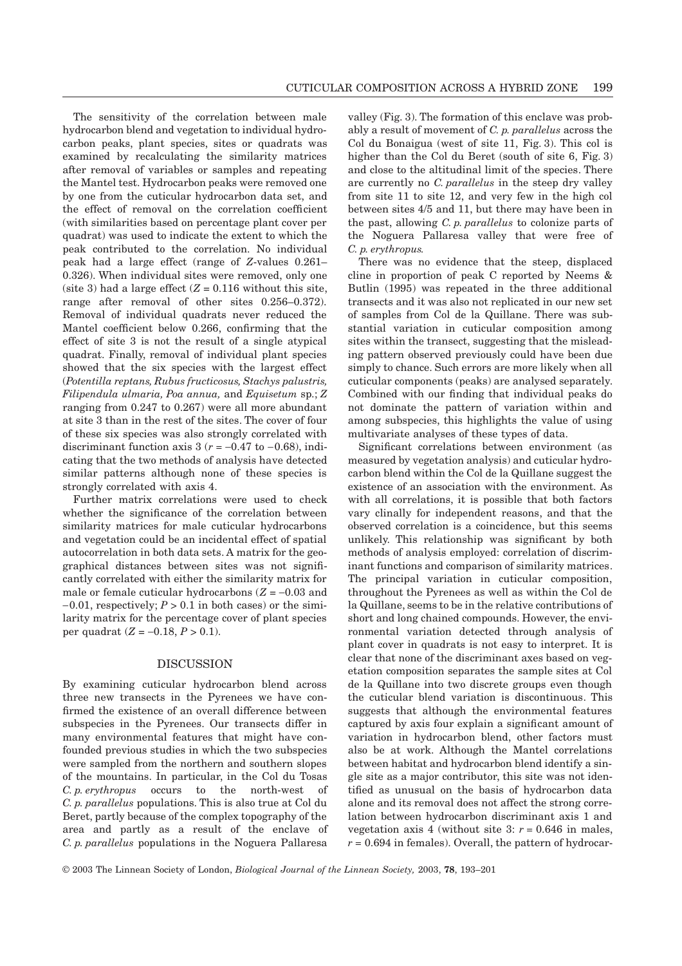The sensitivity of the correlation between male hydrocarbon blend and vegetation to individual hydrocarbon peaks, plant species, sites or quadrats was examined by recalculating the similarity matrices after removal of variables or samples and repeating the Mantel test. Hydrocarbon peaks were removed one by one from the cuticular hydrocarbon data set, and the effect of removal on the correlation coefficient (with similarities based on percentage plant cover per quadrat) was used to indicate the extent to which the peak contributed to the correlation. No individual peak had a large effect (range of *Z*-values 0.261– 0.326). When individual sites were removed, only one (site 3) had a large effect  $(Z = 0.116$  without this site, range after removal of other sites 0.256–0.372). Removal of individual quadrats never reduced the Mantel coefficient below 0.266, confirming that the effect of site 3 is not the result of a single atypical quadrat. Finally, removal of individual plant species showed that the six species with the largest effect (*Potentilla reptans, Rubus fructicosus, Stachys palustris, Filipendula ulmaria, Poa annua,* and *Equisetum* sp.; *Z* ranging from 0.247 to 0.267) were all more abundant at site 3 than in the rest of the sites. The cover of four of these six species was also strongly correlated with discriminant function axis  $3 (r = -0.47 \text{ to } -0.68)$ , indicating that the two methods of analysis have detected similar patterns although none of these species is strongly correlated with axis 4.

Further matrix correlations were used to check whether the significance of the correlation between similarity matrices for male cuticular hydrocarbons and vegetation could be an incidental effect of spatial autocorrelation in both data sets. A matrix for the geographical distances between sites was not significantly correlated with either the similarity matrix for male or female cuticular hydrocarbons  $(Z = -0.03$  and  $-0.01$ , respectively;  $P > 0.1$  in both cases) or the similarity matrix for the percentage cover of plant species per quadrat  $(Z = -0.18, P > 0.1)$ .

### DISCUSSION

By examining cuticular hydrocarbon blend across three new transects in the Pyrenees we have confirmed the existence of an overall difference between subspecies in the Pyrenees. Our transects differ in many environmental features that might have confounded previous studies in which the two subspecies were sampled from the northern and southern slopes of the mountains. In particular, in the Col du Tosas *C. p. erythropus* occurs to the north-west of *C. p. parallelus* populations. This is also true at Col du Beret, partly because of the complex topography of the area and partly as a result of the enclave of *C. p. parallelus* populations in the Noguera Pallaresa

valley (Fig. 3). The formation of this enclave was probably a result of movement of *C. p. parallelus* across the Col du Bonaigua (west of site 11, Fig. 3). This col is higher than the Col du Beret (south of site 6, Fig. 3) and close to the altitudinal limit of the species. There are currently no *C. parallelus* in the steep dry valley from site 11 to site 12, and very few in the high col between sites 4/5 and 11, but there may have been in the past, allowing *C. p. parallelus* to colonize parts of the Noguera Pallaresa valley that were free of *C. p. erythropus.*

There was no evidence that the steep, displaced cline in proportion of peak C reported by Neems & Butlin (1995) was repeated in the three additional transects and it was also not replicated in our new set of samples from Col de la Quillane. There was substantial variation in cuticular composition among sites within the transect, suggesting that the misleading pattern observed previously could have been due simply to chance. Such errors are more likely when all cuticular components (peaks) are analysed separately. Combined with our finding that individual peaks do not dominate the pattern of variation within and among subspecies, this highlights the value of using multivariate analyses of these types of data.

Significant correlations between environment (as measured by vegetation analysis) and cuticular hydrocarbon blend within the Col de la Quillane suggest the existence of an association with the environment. As with all correlations, it is possible that both factors vary clinally for independent reasons, and that the observed correlation is a coincidence, but this seems unlikely. This relationship was significant by both methods of analysis employed: correlation of discriminant functions and comparison of similarity matrices. The principal variation in cuticular composition, throughout the Pyrenees as well as within the Col de la Quillane, seems to be in the relative contributions of short and long chained compounds. However, the environmental variation detected through analysis of plant cover in quadrats is not easy to interpret. It is clear that none of the discriminant axes based on vegetation composition separates the sample sites at Col de la Quillane into two discrete groups even though the cuticular blend variation is discontinuous. This suggests that although the environmental features captured by axis four explain a significant amount of variation in hydrocarbon blend, other factors must also be at work. Although the Mantel correlations between habitat and hydrocarbon blend identify a single site as a major contributor, this site was not identified as unusual on the basis of hydrocarbon data alone and its removal does not affect the strong correlation between hydrocarbon discriminant axis 1 and vegetation axis 4 (without site 3:  $r = 0.646$  in males, *r =* 0.694 in females). Overall, the pattern of hydrocar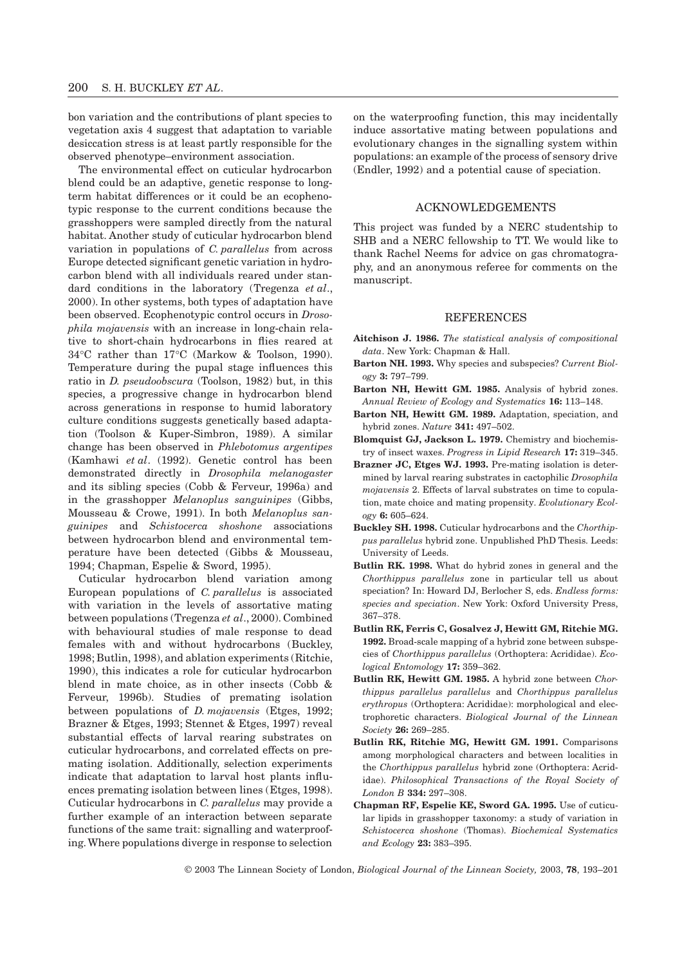bon variation and the contributions of plant species to vegetation axis 4 suggest that adaptation to variable desiccation stress is at least partly responsible for the observed phenotype–environment association.

The environmental effect on cuticular hydrocarbon blend could be an adaptive, genetic response to longterm habitat differences or it could be an ecophenotypic response to the current conditions because the grasshoppers were sampled directly from the natural habitat. Another study of cuticular hydrocarbon blend variation in populations of *C. parallelus* from across Europe detected significant genetic variation in hydrocarbon blend with all individuals reared under standard conditions in the laboratory (Tregenza *et al*., 2000). In other systems, both types of adaptation have been observed. Ecophenotypic control occurs in *Drosophila mojavensis* with an increase in long-chain relative to short-chain hydrocarbons in flies reared at 34∞C rather than 17∞C (Markow & Toolson, 1990). Temperature during the pupal stage influences this ratio in *D. pseudoobscura* (Toolson, 1982) but, in this species, a progressive change in hydrocarbon blend across generations in response to humid laboratory culture conditions suggests genetically based adaptation (Toolson & Kuper-Simbron, 1989). A similar change has been observed in *Phlebotomus argentipes* (Kamhawi *et al*. (1992). Genetic control has been demonstrated directly in *Drosophila melanogaster* and its sibling species (Cobb & Ferveur, 1996a) and in the grasshopper *Melanoplus sanguinipes* (Gibbs, Mousseau & Crowe, 1991). In both *Melanoplus sanguinipes* and *Schistocerca shoshone* associations between hydrocarbon blend and environmental temperature have been detected (Gibbs & Mousseau, 1994; Chapman, Espelie & Sword, 1995).

Cuticular hydrocarbon blend variation among European populations of *C. parallelus* is associated with variation in the levels of assortative mating between populations (Tregenza *et al*., 2000). Combined with behavioural studies of male response to dead females with and without hydrocarbons (Buckley, 1998; Butlin, 1998), and ablation experiments (Ritchie, 1990), this indicates a role for cuticular hydrocarbon blend in mate choice, as in other insects (Cobb & Ferveur, 1996b). Studies of premating isolation between populations of *D. mojavensis* (Etges, 1992; Brazner & Etges, 1993; Stennet & Etges, 1997) reveal substantial effects of larval rearing substrates on cuticular hydrocarbons, and correlated effects on premating isolation. Additionally, selection experiments indicate that adaptation to larval host plants influences premating isolation between lines (Etges, 1998). Cuticular hydrocarbons in *C. parallelus* may provide a further example of an interaction between separate functions of the same trait: signalling and waterproofing. Where populations diverge in response to selection

on the waterproofing function, this may incidentally induce assortative mating between populations and evolutionary changes in the signalling system within populations: an example of the process of sensory drive (Endler, 1992) and a potential cause of speciation.

## ACKNOWLEDGEMENTS

This project was funded by a NERC studentship to SHB and a NERC fellowship to TT. We would like to thank Rachel Neems for advice on gas chromatography, and an anonymous referee for comments on the manuscript.

#### REFERENCES

- **Aitchison J. 1986.** *The statistical analysis of compositional data*. New York: Chapman & Hall.
- **Barton NH. 1993.** Why species and subspecies? *Current Biology* **3:** 797–799.
- **Barton NH, Hewitt GM. 1985.** Analysis of hybrid zones. *Annual Review of Ecology and Systematics* **16:** 113–148.
- **Barton NH, Hewitt GM. 1989.** Adaptation, speciation, and hybrid zones. *Nature* **341:** 497–502.
- **Blomquist GJ, Jackson L. 1979.** Chemistry and biochemistry of insect waxes. *Progress in Lipid Research* **17:** 319–345.
- **Brazner JC, Etges WJ. 1993.** Pre-mating isolation is determined by larval rearing substrates in cactophilic *Drosophila mojavensis* 2. Effects of larval substrates on time to copulation, mate choice and mating propensity. *Evolutionary Ecology* **6:** 605–624.
- **Buckley SH. 1998.** Cuticular hydrocarbons and the *Chorthippus parallelus* hybrid zone. Unpublished PhD Thesis. Leeds: University of Leeds.
- **Butlin RK. 1998.** What do hybrid zones in general and the *Chorthippus parallelus* zone in particular tell us about speciation? In: Howard DJ, Berlocher S, eds. *Endless forms: species and speciation*. New York: Oxford University Press, 367–378.
- **Butlin RK, Ferris C, Gosalvez J, Hewitt GM, Ritchie MG. 1992.** Broad-scale mapping of a hybrid zone between subspecies of *Chorthippus parallelus* (Orthoptera: Acrididae). *Ecological Entomology* **17:** 359–362.
- **Butlin RK, Hewitt GM. 1985.** A hybrid zone between *Chorthippus parallelus parallelus* and *Chorthippus parallelus erythropus* (Orthoptera: Acrididae): morphological and electrophoretic characters. *Biological Journal of the Linnean Society* **26:** 269–285.
- **Butlin RK, Ritchie MG, Hewitt GM. 1991.** Comparisons among morphological characters and between localities in the *Chorthippus parallelus* hybrid zone (Orthoptera: Acrididae). *Philosophical Transactions of the Royal Society of London B* **334:** 297–308.
- **Chapman RF, Espelie KE, Sword GA. 1995.** Use of cuticular lipids in grasshopper taxonomy: a study of variation in *Schistocerca shoshone* (Thomas). *Biochemical Systematics and Ecology* **23:** 383–395.